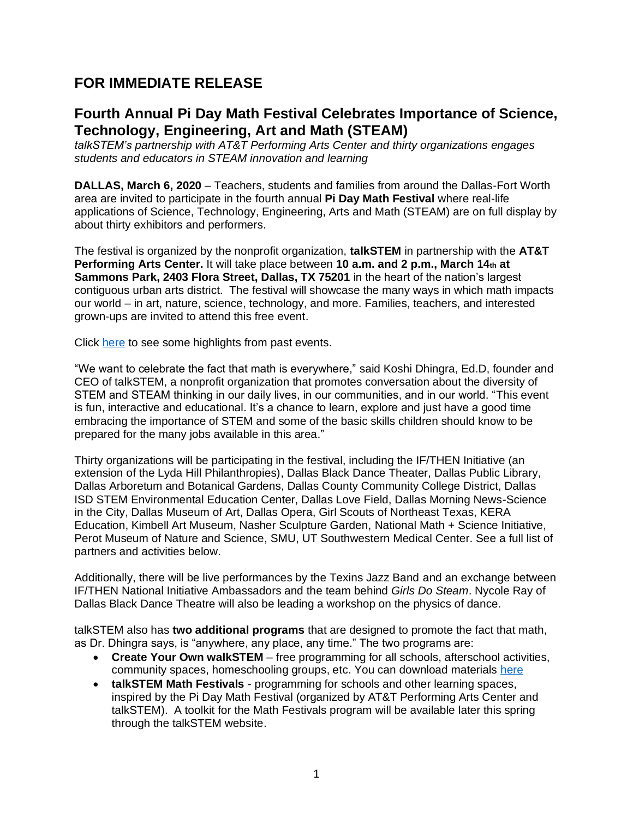# **FOR IMMEDIATE RELEASE**

## **Fourth Annual Pi Day Math Festival Celebrates Importance of Science, Technology, Engineering, Art and Math (STEAM)**

*talkSTEM's partnership with AT&T Performing Arts Center and thirty organizations engages students and educators in STEAM innovation and learning*

**DALLAS, March 6, 2020** – Teachers, students and families from around the Dallas-Fort Worth area are invited to participate in the fourth annual **Pi Day Math Festival** where real-life applications of Science, Technology, Engineering, Arts and Math (STEAM) are on full display by about thirty exhibitors and performers.

The festival is organized by the nonprofit organization, **talkSTEM** in partnership with the **AT&T Performing Arts Center.** It will take place between **10 a.m. and 2 p.m., March 14th at Sammons Park, 2403 Flora Street, Dallas, TX 75201** in the heart of the nation's largest contiguous urban arts district. The festival will showcase the many ways in which math impacts our world – in art, nature, science, technology, and more. Families, teachers, and interested grown-ups are invited to attend this free event.

Click here to see some highlights from past events.

"We want to celebrate the fact that math is everywhere," said Koshi Dhingra, Ed.D, founder and CEO of talkSTEM, a nonprofit organization that promotes conversation about the diversity of STEM and STEAM thinking in our daily lives, in our communities, and in our world. "This event is fun, interactive and educational. It's a chance to learn, explore and just have a good time embracing the importance of STEM and some of the basic skills children should know to be prepared for the many jobs available in this area."

Thirty organizations will be participating in the festival, including the IF/THEN Initiative (an extension of the Lyda Hill Philanthropies), Dallas Black Dance Theater, Dallas Public Library, Dallas Arboretum and Botanical Gardens, Dallas County Community College District, Dallas ISD STEM Environmental Education Center, Dallas Love Field, Dallas Morning News-Science in the City, Dallas Museum of Art, Dallas Opera, Girl Scouts of Northeast Texas, KERA Education, Kimbell Art Museum, Nasher Sculpture Garden, National Math + Science Initiative, Perot Museum of Nature and Science, SMU, UT Southwestern Medical Center. See a full list of partners and activities below.

Additionally, there will be live performances by the Texins Jazz Band and an exchange between IF/THEN National Initiative Ambassadors and the team behind *Girls Do Steam*. Nycole Ray of Dallas Black Dance Theatre will also be leading a workshop on the physics of dance.

talkSTEM also has **two additional programs** that are designed to promote the fact that math, as Dr. Dhingra says, is "anywhere, any place, any time." The two programs are:

- **Create Your Own walkSTEM** free programming for all schools, afterschool activities, community spaces, homeschooling groups, etc. You can download materials here
- **talkSTEM Math Festivals** programming for schools and other learning spaces, inspired by the Pi Day Math Festival (organized by AT&T Performing Arts Center and talkSTEM). A toolkit for the Math Festivals program will be available later this spring through the talkSTEM website.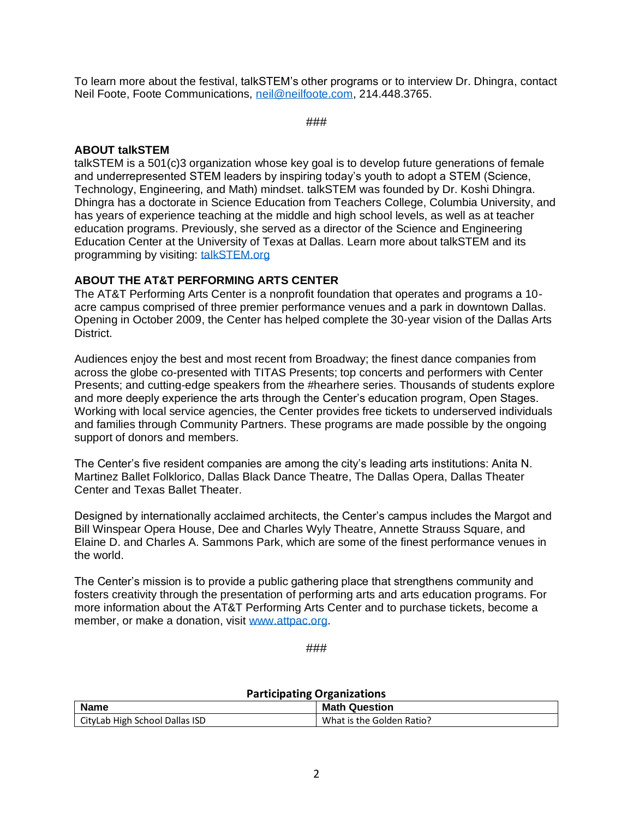To learn more about the festival, talkSTEM's other programs or to interview Dr. Dhingra, contact Neil Foote, Foote Communications, neil@neilfoote.com, 214.448.3765.

###

#### **ABOUT talkSTEM**

talkSTEM is a 501(c)3 organization whose key goal is to develop future generations of female and underrepresented STEM leaders by inspiring today's youth to adopt a STEM (Science, Technology, Engineering, and Math) mindset. talkSTEM was founded by Dr. Koshi Dhingra. Dhingra has a doctorate in Science Education from Teachers College, Columbia University, and has years of experience teaching at the middle and high school levels, as well as at teacher education programs. Previously, she served as a director of the Science and Engineering Education Center at the University of Texas at Dallas. Learn more about talkSTEM and its programming by visiting: talkSTEM.org

#### **ABOUT THE AT&T PERFORMING ARTS CENTER**

The AT&T Performing Arts Center is a nonprofit foundation that operates and programs a 10 acre campus comprised of three premier performance venues and a park in downtown Dallas. Opening in October 2009, the Center has helped complete the 30-year vision of the Dallas Arts District.

Audiences enjoy the best and most recent from Broadway; the finest dance companies from across the globe co-presented with TITAS Presents; top concerts and performers with Center Presents; and cutting-edge speakers from the #hearhere series. Thousands of students explore and more deeply experience the arts through the Center's education program, Open Stages. Working with local service agencies, the Center provides free tickets to underserved individuals and families through Community Partners. These programs are made possible by the ongoing support of donors and members.

The Center's five resident companies are among the city's leading arts institutions: Anita N. Martinez Ballet Folklorico, Dallas Black Dance Theatre, The Dallas Opera, Dallas Theater Center and Texas Ballet Theater.

Designed by internationally acclaimed architects, the Center's campus includes the Margot and Bill Winspear Opera House, Dee and Charles Wyly Theatre, Annette Strauss Square, and Elaine D. and Charles A. Sammons Park, which are some of the finest performance venues in the world.

The Center's mission is to provide a public gathering place that strengthens community and fosters creativity through the presentation of performing arts and arts education programs. For more information about the AT&T Performing Arts Center and to purchase tickets, become a member, or make a donation, visit www.attpac.org.

###

### **Participating Organizations**

| <b>Name</b>                    | <b>Math Question</b>      |
|--------------------------------|---------------------------|
| CityLab High School Dallas ISD | What is the Golden Ratio? |